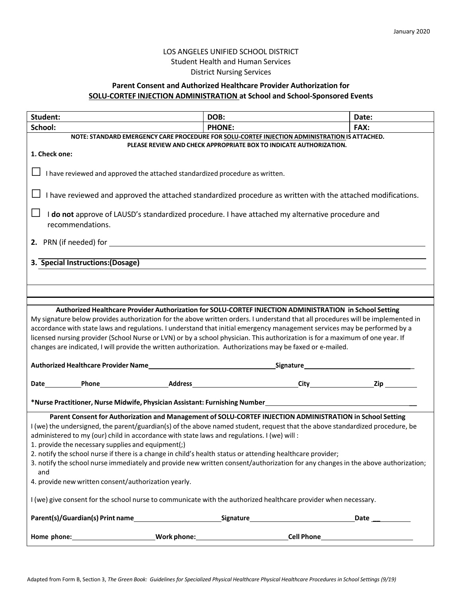## LOS ANGELES UNIFIED SCHOOL DISTRICT Student Health and Human Services District Nursing Services

## **Parent Consent and Authorized Healthcare Provider Authorization for SOLU-CORTEF INJECTION ADMINISTRATION at School and School-Sponsored Events**

| Student:                                                                                                                                                                                                                                                                                                                                                                                                                                                                                                                                                                                                              | DOB:          | Date: |  |  |
|-----------------------------------------------------------------------------------------------------------------------------------------------------------------------------------------------------------------------------------------------------------------------------------------------------------------------------------------------------------------------------------------------------------------------------------------------------------------------------------------------------------------------------------------------------------------------------------------------------------------------|---------------|-------|--|--|
| School:                                                                                                                                                                                                                                                                                                                                                                                                                                                                                                                                                                                                               | <b>PHONE:</b> | FAX:  |  |  |
| NOTE: STANDARD EMERGENCY CARE PROCEDURE FOR SOLU-CORTEF INJECTION ADMINISTRATION IS ATTACHED.                                                                                                                                                                                                                                                                                                                                                                                                                                                                                                                         |               |       |  |  |
| PLEASE REVIEW AND CHECK APPROPRIATE BOX TO INDICATE AUTHORIZATION.<br>1. Check one:                                                                                                                                                                                                                                                                                                                                                                                                                                                                                                                                   |               |       |  |  |
|                                                                                                                                                                                                                                                                                                                                                                                                                                                                                                                                                                                                                       |               |       |  |  |
| I have reviewed and approved the attached standardized procedure as written.                                                                                                                                                                                                                                                                                                                                                                                                                                                                                                                                          |               |       |  |  |
| I have reviewed and approved the attached standardized procedure as written with the attached modifications.                                                                                                                                                                                                                                                                                                                                                                                                                                                                                                          |               |       |  |  |
| I do not approve of LAUSD's standardized procedure. I have attached my alternative procedure and<br>recommendations.                                                                                                                                                                                                                                                                                                                                                                                                                                                                                                  |               |       |  |  |
| 2. PRN (if needed) for subsequently applied to the control of the control of the control of the control of the control of the control of the control of the control of the control of the control of the control of the contro                                                                                                                                                                                                                                                                                                                                                                                        |               |       |  |  |
|                                                                                                                                                                                                                                                                                                                                                                                                                                                                                                                                                                                                                       |               |       |  |  |
| 3. Special Instructions: (Dosage)                                                                                                                                                                                                                                                                                                                                                                                                                                                                                                                                                                                     |               |       |  |  |
|                                                                                                                                                                                                                                                                                                                                                                                                                                                                                                                                                                                                                       |               |       |  |  |
|                                                                                                                                                                                                                                                                                                                                                                                                                                                                                                                                                                                                                       |               |       |  |  |
|                                                                                                                                                                                                                                                                                                                                                                                                                                                                                                                                                                                                                       |               |       |  |  |
| Authorized Healthcare Provider Authorization for SOLU-CORTEF INJECTION ADMINISTRATION in School Setting<br>My signature below provides authorization for the above written orders. I understand that all procedures will be implemented in<br>accordance with state laws and regulations. I understand that initial emergency management services may be performed by a<br>licensed nursing provider (School Nurse or LVN) or by a school physician. This authorization is for a maximum of one year. If<br>changes are indicated, I will provide the written authorization. Authorizations may be faxed or e-mailed. |               |       |  |  |
|                                                                                                                                                                                                                                                                                                                                                                                                                                                                                                                                                                                                                       |               |       |  |  |
|                                                                                                                                                                                                                                                                                                                                                                                                                                                                                                                                                                                                                       |               |       |  |  |
| Parent Consent for Authorization and Management of SOLU-CORTEF INJECTION ADMINISTRATION in School Setting                                                                                                                                                                                                                                                                                                                                                                                                                                                                                                             |               |       |  |  |
| I (we) the undersigned, the parent/guardian(s) of the above named student, request that the above standardized procedure, be<br>administered to my (our) child in accordance with state laws and regulations. I (we) will :                                                                                                                                                                                                                                                                                                                                                                                           |               |       |  |  |
| 1. provide the necessary supplies and equipment(;)<br>2. notify the school nurse if there is a change in child's health status or attending healthcare provider;                                                                                                                                                                                                                                                                                                                                                                                                                                                      |               |       |  |  |
| 3. notify the school nurse immediately and provide new written consent/authorization for any changes in the above authorization;<br>and                                                                                                                                                                                                                                                                                                                                                                                                                                                                               |               |       |  |  |
| 4. provide new written consent/authorization yearly.                                                                                                                                                                                                                                                                                                                                                                                                                                                                                                                                                                  |               |       |  |  |
| I (we) give consent for the school nurse to communicate with the authorized healthcare provider when necessary.                                                                                                                                                                                                                                                                                                                                                                                                                                                                                                       |               |       |  |  |
|                                                                                                                                                                                                                                                                                                                                                                                                                                                                                                                                                                                                                       |               |       |  |  |
|                                                                                                                                                                                                                                                                                                                                                                                                                                                                                                                                                                                                                       |               |       |  |  |